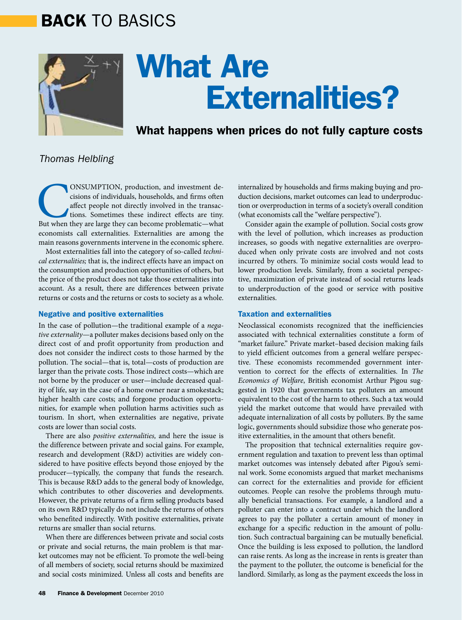# BACK TO BASICS



# What Are Externalities?

## What happens when prices do not fully capture costs

### *Thomas Helbling*

CONSUMPTION, production, and investment decisions of individuals, households, and firms often affect people not directly involved in the transactions. Sometimes these indirect effects are tiny.<br>But when they are large they cisions of individuals, households, and firms often affect people not directly involved in the transactions. Sometimes these indirect effects are tiny. economists call externalities. Externalities are among the main reasons governments intervene in the economic sphere.

Most externalities fall into the category of so-called *technical externalities;* that is, the indirect effects have an impact on the consumption and production opportunities of others, but the price of the product does not take those externalities into account. As a result, there are differences between private returns or costs and the returns or costs to society as a whole.

#### Negative and positive externalities

In the case of pollution—the traditional example of a *negative externality*—a polluter makes decisions based only on the direct cost of and profit opportunity from production and does not consider the indirect costs to those harmed by the pollution. The social—that is, total—costs of production are larger than the private costs. Those indirect costs—which are not borne by the producer or user—include decreased quality of life, say in the case of a home owner near a smokestack; higher health care costs; and forgone production opportunities, for example when pollution harms activities such as tourism. In short, when externalities are negative, private costs are lower than social costs.

There are also *positive externalities,* and here the issue is the difference between private and social gains. For example, research and development (R&D) activities are widely considered to have positive effects beyond those enjoyed by the producer—typically, the company that funds the research. This is because R&D adds to the general body of knowledge, which contributes to other discoveries and developments. However, the private returns of a firm selling products based on its own R&D typically do not include the returns of others who benefited indirectly. With positive externalities, private returns are smaller than social returns.

When there are differences between private and social costs or private and social returns, the main problem is that market outcomes may not be efficient. To promote the well-being of all members of society, social returns should be maximized and social costs minimized. Unless all costs and benefits are

internalized by households and firms making buying and production decisions, market outcomes can lead to underproduction or overproduction in terms of a society's overall condition (what economists call the "welfare perspective").

Consider again the example of pollution. Social costs grow with the level of pollution, which increases as production increases, so goods with negative externalities are overproduced when only private costs are involved and not costs incurred by others. To minimize social costs would lead to lower production levels. Similarly, from a societal perspective, maximization of private instead of social returns leads to underproduction of the good or service with positive externalities.

#### Taxation and externalities

Neoclassical economists recognized that the inefficiencies associated with technical externalities constitute a form of "market failure." Private market–based decision making fails to yield efficient outcomes from a general welfare perspective. These economists recommended government intervention to correct for the effects of externalities. In *The Economics of Welfare*, British economist Arthur Pigou suggested in 1920 that governments tax polluters an amount equivalent to the cost of the harm to others. Such a tax would yield the market outcome that would have prevailed with adequate internalization of all costs by polluters. By the same logic, governments should subsidize those who generate positive externalities, in the amount that others benefit.

The proposition that technical externalities require government regulation and taxation to prevent less than optimal market outcomes was intensely debated after Pigou's seminal work. Some economists argued that market mechanisms can correct for the externalities and provide for efficient outcomes. People can resolve the problems through mutually beneficial transactions. For example, a landlord and a polluter can enter into a contract under which the landlord agrees to pay the polluter a certain amount of money in exchange for a specific reduction in the amount of pollution. Such contractual bargaining can be mutually beneficial. Once the building is less exposed to pollution, the landlord can raise rents. As long as the increase in rents is greater than the payment to the polluter, the outcome is beneficial for the landlord. Similarly, as long as the payment exceeds the loss in